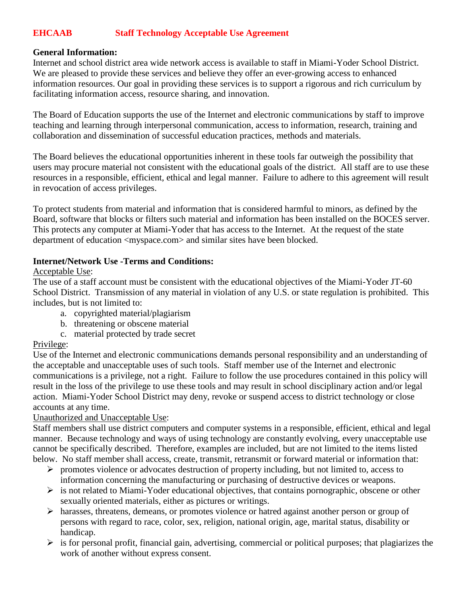# **EHCAAB Staff Technology Acceptable Use Agreement**

### **General Information:**

Internet and school district area wide network access is available to staff in Miami-Yoder School District. We are pleased to provide these services and believe they offer an ever-growing access to enhanced information resources. Our goal in providing these services is to support a rigorous and rich curriculum by facilitating information access, resource sharing, and innovation.

The Board of Education supports the use of the Internet and electronic communications by staff to improve teaching and learning through interpersonal communication, access to information, research, training and collaboration and dissemination of successful education practices, methods and materials.

The Board believes the educational opportunities inherent in these tools far outweigh the possibility that users may procure material not consistent with the educational goals of the district. All staff are to use these resources in a responsible, efficient, ethical and legal manner. Failure to adhere to this agreement will result in revocation of access privileges.

To protect students from material and information that is considered harmful to minors, as defined by the Board, software that blocks or filters such material and information has been installed on the BOCES server. This protects any computer at Miami-Yoder that has access to the Internet. At the request of the state department of education <myspace.com> and similar sites have been blocked.

### **Internet/Network Use -Terms and Conditions:**

### Acceptable Use:

The use of a staff account must be consistent with the educational objectives of the Miami-Yoder JT-60 School District. Transmission of any material in violation of any U.S. or state regulation is prohibited. This includes, but is not limited to:

- a. copyrighted material/plagiarism
- b. threatening or obscene material
- c. material protected by trade secret

# Privilege:

Use of the Internet and electronic communications demands personal responsibility and an understanding of the acceptable and unacceptable uses of such tools. Staff member use of the Internet and electronic communications is a privilege, not a right. Failure to follow the use procedures contained in this policy will result in the loss of the privilege to use these tools and may result in school disciplinary action and/or legal action. Miami-Yoder School District may deny, revoke or suspend access to district technology or close accounts at any time.

### Unauthorized and Unacceptable Use:

Staff members shall use district computers and computer systems in a responsible, efficient, ethical and legal manner. Because technology and ways of using technology are constantly evolving, every unacceptable use cannot be specifically described. Therefore, examples are included, but are not limited to the items listed below. No staff member shall access, create, transmit, retransmit or forward material or information that:

- $\triangleright$  promotes violence or advocates destruction of property including, but not limited to, access to information concerning the manufacturing or purchasing of destructive devices or weapons.
- $\triangleright$  is not related to Miami-Yoder educational objectives, that contains pornographic, obscene or other sexually oriented materials, either as pictures or writings.
- harasses, threatens, demeans, or promotes violence or hatred against another person or group of persons with regard to race, color, sex, religion, national origin, age, marital status, disability or handicap.
- $\triangleright$  is for personal profit, financial gain, advertising, commercial or political purposes; that plagiarizes the work of another without express consent.